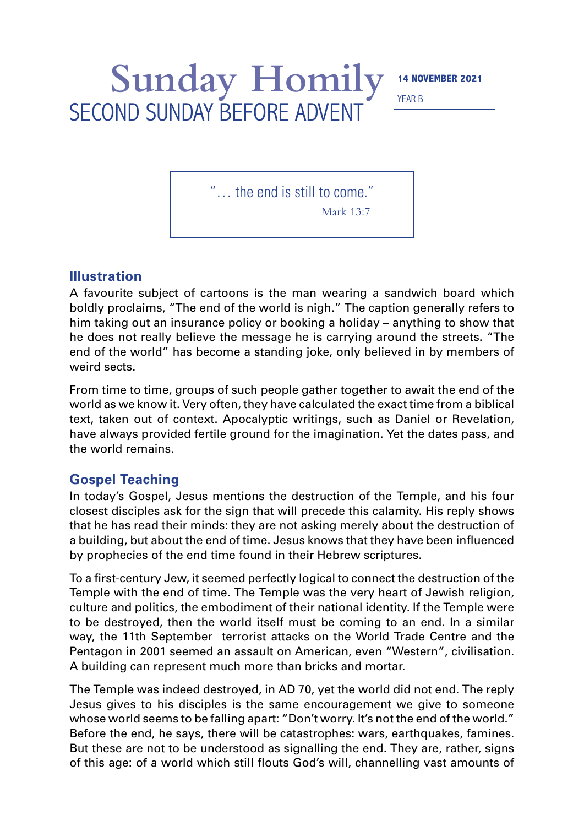## Sunday Homily **14 NOVEMBER 2021** SECOND SUNDAY BEFORE ADVENT

YEAR B

"… the end is still to come."

Mark 13:7

## **Illustration**

A favourite subject of cartoons is the man wearing a sandwich board which boldly proclaims, "The end of the world is nigh." The caption generally refers to him taking out an insurance policy or booking a holiday – anything to show that he does not really believe the message he is carrying around the streets. "The end of the world" has become a standing joke, only believed in by members of weird sects.

From time to time, groups of such people gather together to await the end of the world as we know it. Very often, they have calculated the exact time from a biblical text, taken out of context. Apocalyptic writings, such as Daniel or Revelation, have always provided fertile ground for the imagination. Yet the dates pass, and the world remains.

## **Gospel Teaching**

In today's Gospel, Jesus mentions the destruction of the Temple, and his four closest disciples ask for the sign that will precede this calamity. His reply shows that he has read their minds: they are not asking merely about the destruction of a building, but about the end of time. Jesus knows that they have been influenced by prophecies of the end time found in their Hebrew scriptures.

To a first-century Jew, it seemed perfectly logical to connect the destruction of the Temple with the end of time. The Temple was the very heart of Jewish religion, culture and politics, the embodiment of their national identity. If the Temple were to be destroyed, then the world itself must be coming to an end. In a similar way, the 11th September terrorist attacks on the World Trade Centre and the Pentagon in 2001 seemed an assault on American, even "Western", civilisation. A building can represent much more than bricks and mortar.

The Temple was indeed destroyed, in AD 70, yet the world did not end. The reply Jesus gives to his disciples is the same encouragement we give to someone whose world seems to be falling apart: "Don't worry. It's not the end of the world." Before the end, he says, there will be catastrophes: wars, earthquakes, famines. But these are not to be understood as signalling the end. They are, rather, signs of this age: of a world which still flouts God's will, channelling vast amounts of